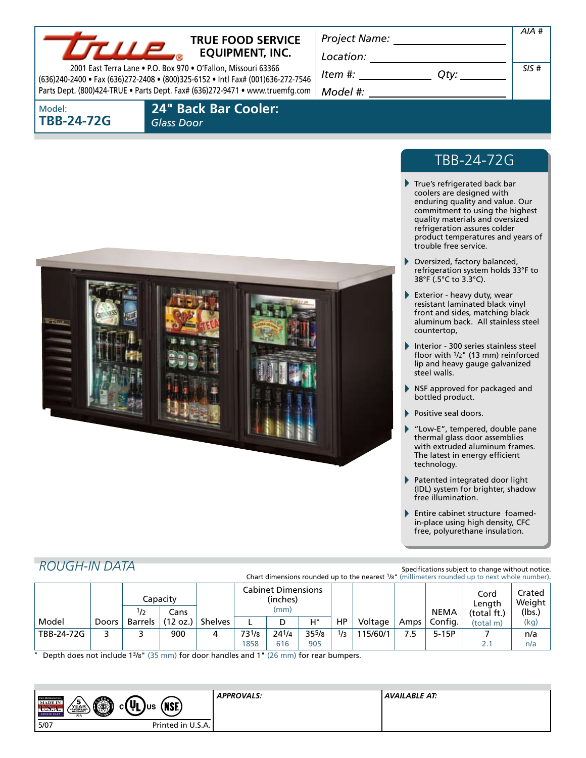

## **TRUE FOOD SERVICE EQUIPMENT, INC.**

2001 East Terra Lane • P.O. Box 970 • O'Fallon, Missouri 63366 (636)240-2400 • Fax (636)272-2408 • (800)325-6152 • Intl Fax# (001)636-272-7546 Parts Dept. (800)424-TRUE • Parts Dept. Fax# (636)272-9471 • www.truemfg.com *Location: Item #: Qtymergeneral managery* 

*Model #:*

*Project Name:*

*SIS #*

*AIA #*

Model: **tbb-24-72G**

 **24" Back Bar Cooler:**   *Glass Door*



# tbb-24-72G

- True's refrigerated back bar coolers are designed with enduring quality and value. Our commitment to using the highest quality materials and oversized refrigeration assures colder product temperatures and years of trouble free service.
- ь Oversized, factory balanced, refrigeration system holds 33°F to 38°F (.5°C to 3.3°C).
- Exterior heavy duty, wear resistant laminated black vinyl front and sides, matching black aluminum back. All stainless steel countertop,
- Interior 300 series stainless steel floor with 1/2" (13 mm) reinforced lip and heavy gauge galvanized steel walls.
- **NSF approved for packaged and** bottled product.
- Positive seal doors.
- "Low-E", tempered, double pane thermal glass door assemblies with extruded aluminum frames. The latest in energy efficient technology.
- Patented integrated door light (IDL) system for brighter, shadow free illumination.
- Entire cabinet structure foamedin-place using high density, CFC free, polyurethane insulation.

## *Rough-In Data*

Specifications subject to change without notice. Chart dimensions rounded up to the nearest 1/8" (millimeters rounded up to next whole number).

|            |       |                | Capacitv         |         | <b>Cabinet Dimensions</b><br>(inches) |       |            |     |          |      | Cord<br>Lenath           | Crated I<br>Weight       |                |
|------------|-------|----------------|------------------|---------|---------------------------------------|-------|------------|-----|----------|------|--------------------------|--------------------------|----------------|
| Model      | Doors | 1/2<br>Barrels | Cans<br>(12 oz.) | Shelves |                                       | (mm)  | $H^*$      | HP  | Voltage  | Amps | <b>NEMA</b><br>' Config. | (total ft.)<br>(total m) | (lbs.)<br>(kg) |
| TBB-24-72G |       |                | 900              |         | 731/8                                 | 241/4 | $35^{5}/8$ | 1/3 | 115/60/1 | 7.5  | $5-15P$                  |                          | n/a            |
|            |       |                |                  |         | 1858                                  | 616   | 905        |     |          |      |                          |                          | n/a            |

Depth does not include 13/8" (35 mm) for door handles and 1" (26 mm) for rear bumpers.

| <b>TRUE RIFRIGER CHON</b><br>O<br>(ิ <mark>UL)</mark> บร<br>$\sqrt{\frac{5}{\text{YEAR}}}\$<br><b>MADEIN</b><br>(NSE)<br>U.S.A.<br>ひい<br><b>SINCE 1945</b><br><b>USA</b> | <b>APPROVALS:</b> | AVAILABLE AT: |
|--------------------------------------------------------------------------------------------------------------------------------------------------------------------------|-------------------|---------------|
| 5/07<br>Printed in U.S.A.                                                                                                                                                |                   |               |